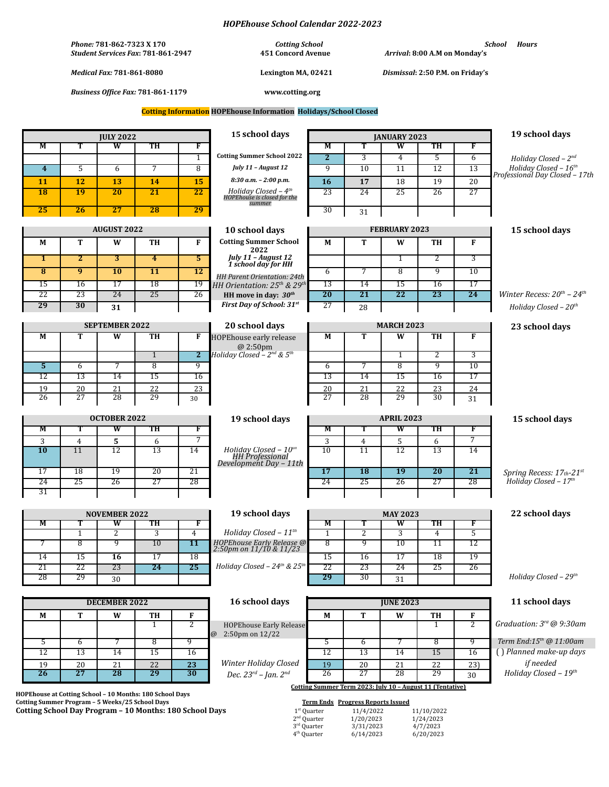|                                                                                                                                                         |                                                                        |                                             |                                  |                              | <b>HOPEhouse School Calendar 2022-2023</b>                                         |                                                                          |                                                           |                                |                                                  |                      |                                                     |
|---------------------------------------------------------------------------------------------------------------------------------------------------------|------------------------------------------------------------------------|---------------------------------------------|----------------------------------|------------------------------|------------------------------------------------------------------------------------|--------------------------------------------------------------------------|-----------------------------------------------------------|--------------------------------|--------------------------------------------------|----------------------|-----------------------------------------------------|
|                                                                                                                                                         | Phone: 781-862-7323 X 170<br><b>Student Services Fax: 781-861-2947</b> |                                             |                                  |                              | <b>Cotting School</b><br><b>451 Concord Avenue</b>                                 |                                                                          | Arrival: 8:00 A.M on Monday's                             |                                |                                                  |                      | School<br><b>Hours</b>                              |
|                                                                                                                                                         | <b>Medical Fax: 781-861-8080</b>                                       |                                             |                                  |                              | Lexington MA, 02421                                                                |                                                                          | Dismissal: 2:50 P.M. on Friday's                          |                                |                                                  |                      |                                                     |
| <b>Business Office Fax: 781-861-1179</b>                                                                                                                |                                                                        |                                             |                                  |                              | www.cotting.org                                                                    |                                                                          |                                                           |                                |                                                  |                      |                                                     |
| <b>Cotting Information HOPEhouse Information Holidays/School Closed</b>                                                                                 |                                                                        |                                             |                                  |                              |                                                                                    |                                                                          |                                                           |                                |                                                  |                      |                                                     |
|                                                                                                                                                         |                                                                        |                                             |                                  |                              |                                                                                    |                                                                          |                                                           |                                |                                                  |                      |                                                     |
| M                                                                                                                                                       | T                                                                      | <b>JULY 2022</b><br>$\overline{\mathbf{w}}$ | TH                               | F                            | 15 school days                                                                     | М                                                                        | T                                                         | <b>IANUARY 2023</b><br>W       | TH                                               | F                    | 19 school days                                      |
|                                                                                                                                                         |                                                                        |                                             |                                  | $\overline{1}$               | <b>Cotting Summer School 2022</b>                                                  | $\overline{2}$                                                           | $\overline{3}$                                            | $\overline{4}$                 | $\overline{5}$                                   | $\overline{6}$       | Holiday Closed $-2^{nd}$                            |
| $\overline{\mathbf{4}}$                                                                                                                                 | 5                                                                      | 6                                           | 7                                | 8                            | July 11 - August 12                                                                | $\overline{9}$                                                           | 10                                                        | 11                             | 12                                               | 13                   | Holiday Closed - 16th                               |
| 11                                                                                                                                                      | 12                                                                     | 13                                          | 14                               | 15                           | $8:30$ a.m. $- 2:00$ p.m.                                                          | 16                                                                       | 17                                                        | 18                             | 19                                               | 20                   | Professional Day Closed - 17th                      |
| $\overline{18}$                                                                                                                                         | 19                                                                     | $\overline{20}$                             | 21                               | 22                           | Holiday Closed – $4th$<br>HOPEhouse is closed for the                              | 23                                                                       | 24                                                        | 25                             | 26                                               | $\overline{27}$      |                                                     |
|                                                                                                                                                         |                                                                        |                                             |                                  |                              | summer                                                                             |                                                                          |                                                           |                                |                                                  |                      |                                                     |
| 25                                                                                                                                                      | 26                                                                     | $\overline{27}$                             | 28                               | 29                           |                                                                                    | 30                                                                       | 31                                                        |                                |                                                  |                      |                                                     |
|                                                                                                                                                         |                                                                        | <b>AUGUST 2022</b>                          |                                  |                              | 10 school days                                                                     | <b>FEBRUARY 2023</b>                                                     |                                                           |                                |                                                  | 15 school days       |                                                     |
| М                                                                                                                                                       | T                                                                      | W                                           | TH                               | $\mathbf{F}$                 | <b>Cotting Summer School</b>                                                       | М                                                                        | T                                                         | W                              | TH                                               | F                    |                                                     |
| $\mathbf{1}$                                                                                                                                            | $\overline{2}$                                                         | $\overline{3}$                              | $\overline{4}$                   | $\overline{5}$               | 2022<br>July 11 - August 12<br>1 school day for HH                                 |                                                                          |                                                           | $\mathbf 1$                    | $\overline{2}$                                   | 3                    |                                                     |
| $\overline{\mathbf{8}}$                                                                                                                                 | 9                                                                      | 10                                          | 11                               | 12                           |                                                                                    | 6                                                                        | 7                                                         | 8                              | 9                                                | 10                   |                                                     |
| 15                                                                                                                                                      | 16                                                                     | 17                                          | 18                               | 19                           | HH Parent Orientation: 24th<br>HH Orientation: 25 <sup>th</sup> & 29 <sup>th</sup> | 13                                                                       | 14                                                        | 15                             | 16                                               | 17                   |                                                     |
| 22                                                                                                                                                      | 23                                                                     | 24                                          | 25                               | 26                           | HH move in day: $30th$                                                             | $\overline{20}$                                                          | $\overline{21}$                                           | 22                             | $\overline{23}$                                  | 24                   | Winter Recess: $20^{th}$ – $24^{th}$                |
| 29                                                                                                                                                      | 30                                                                     | 31                                          |                                  |                              | First Day of School: 31st                                                          | 27                                                                       | 28                                                        |                                |                                                  |                      | Holiday Closed - $20th$                             |
|                                                                                                                                                         |                                                                        | <b>SEPTEMBER 2022</b>                       |                                  |                              | 20 school days                                                                     | <b>MARCH 2023</b>                                                        |                                                           |                                |                                                  | 23 school days       |                                                     |
| $\overline{\mathbf{M}}$                                                                                                                                 | Т                                                                      | W                                           | TH                               | $\overline{F}$               | <b>HOPEhouse early release</b>                                                     | $\overline{\mathbf{M}}$                                                  | T                                                         | $\overline{\mathbf{w}}$        | TH                                               | F                    |                                                     |
|                                                                                                                                                         |                                                                        |                                             |                                  |                              | @2:50pm                                                                            |                                                                          |                                                           |                                |                                                  |                      |                                                     |
| 5                                                                                                                                                       | 6                                                                      | 7                                           | $\overline{1}$<br>$\overline{8}$ | $\overline{\mathbf{2}}$<br>9 | Holiday Closed - $2^{nd}$ & $5^{th}$                                               | 6                                                                        | 7                                                         | $\mathbf{1}$<br>$\overline{8}$ | 2<br>9                                           | 3<br>$\overline{10}$ |                                                     |
| 12                                                                                                                                                      | 13                                                                     | 14                                          | 15                               | 16                           |                                                                                    | 13                                                                       | 14                                                        | 15                             | 16                                               | 17                   |                                                     |
| 19                                                                                                                                                      | 20                                                                     | 21                                          | 22                               | 23                           |                                                                                    | 20                                                                       | 21                                                        | 22                             | 23                                               | 24                   |                                                     |
| 26                                                                                                                                                      | 27                                                                     | 28                                          | 29                               | 30                           |                                                                                    | 27                                                                       | 28                                                        | 29                             | 30                                               | 31                   |                                                     |
|                                                                                                                                                         |                                                                        |                                             |                                  |                              |                                                                                    |                                                                          |                                                           |                                |                                                  |                      |                                                     |
| М                                                                                                                                                       | <b>OCTOBER 2022</b><br>TH<br>W<br>F<br>Т                               |                                             |                                  | 19 school days               | <b>APRIL 2023</b><br>w<br>TH<br>М<br>F<br>т                                        |                                                                          |                                                           |                                | 15 school days                                   |                      |                                                     |
| 3                                                                                                                                                       | 4                                                                      | 5                                           | 6                                | 7                            |                                                                                    | 3                                                                        | 4                                                         | 5                              | 6                                                | $\overline{7}$       |                                                     |
| 10                                                                                                                                                      | 11                                                                     | 12                                          | 13                               | 14                           | <i>Holiday Closed - <math>10th</math> HH Professional</i>                          | 10                                                                       | 11                                                        | 12                             | 13                                               | 14                   |                                                     |
|                                                                                                                                                         |                                                                        |                                             |                                  |                              | Development Day - 11th                                                             |                                                                          |                                                           |                                |                                                  |                      |                                                     |
| 17<br>24                                                                                                                                                | 18<br>25                                                               | 19<br>26                                    | 20<br>27                         | 21<br>28                     |                                                                                    | 17<br>24                                                                 | <b>18</b><br>25                                           | $\overline{19}$<br>26          | $\overline{20}$<br>27                            | 21<br>28             | Spring Recess: 17th-21st<br>Holiday Closed - $17th$ |
| 31                                                                                                                                                      |                                                                        |                                             |                                  |                              |                                                                                    |                                                                          |                                                           |                                |                                                  |                      |                                                     |
|                                                                                                                                                         |                                                                        |                                             |                                  |                              |                                                                                    |                                                                          |                                                           |                                |                                                  |                      |                                                     |
|                                                                                                                                                         |                                                                        | <b>NOVEMBER 2022</b>                        |                                  |                              | 19 school days                                                                     |                                                                          |                                                           | <b>MAY 2023</b>                |                                                  |                      | 22 school days                                      |
| М                                                                                                                                                       | $\overline{1}$                                                         | W<br>$\overline{2}$                         | TH<br>$\overline{3}$             | F<br>$\overline{4}$          | Holiday Closed - $11^{th}$                                                         | M<br>$\overline{1}$                                                      | $\overline{2}$                                            | W<br>$\overline{3}$            | TН<br>$\overline{4}$                             | F<br>$\overline{5}$  |                                                     |
| 7                                                                                                                                                       | 8                                                                      | 9                                           | 10                               | 11                           | HOPEhouse Early Release @<br>2:50pm on 11/10 & 11/23                               | 8                                                                        | 9                                                         | 10                             | 11                                               | 12                   |                                                     |
| 14                                                                                                                                                      | $\overline{15}$                                                        | 16                                          | 17                               | $\overline{18}$              |                                                                                    | $\overline{15}$                                                          | 16                                                        | 17                             | 18                                               | 19                   |                                                     |
| 21                                                                                                                                                      | 22                                                                     | 23                                          | 24                               | 25                           | Holiday Closed - $24^{th}$ & $25^{th}$                                             | 22                                                                       | 23                                                        | 24                             | 25                                               | 26                   |                                                     |
| 28                                                                                                                                                      | 29                                                                     | 30                                          |                                  |                              |                                                                                    | 29                                                                       | 30                                                        | 31                             |                                                  |                      | Holiday Closed $-29tn$                              |
|                                                                                                                                                         |                                                                        |                                             |                                  |                              |                                                                                    |                                                                          |                                                           |                                |                                                  |                      |                                                     |
| <b>DECEMBER 2022</b>                                                                                                                                    |                                                                        |                                             |                                  | 16 school days               | <b>JUNE 2023</b>                                                                   |                                                                          |                                                           |                                | 11 school days                                   |                      |                                                     |
| М                                                                                                                                                       | T                                                                      | W                                           | TH<br>1                          | F<br>$\overline{2}$          |                                                                                    | М                                                                        | T                                                         | W                              | TH<br>1                                          | F<br>$\overline{2}$  | Graduation: 3rd @ 9:30am                            |
|                                                                                                                                                         |                                                                        |                                             |                                  |                              | <b>HOPEhouse Early Release</b><br>$2:50$ pm on $12/22$<br>@                        |                                                                          |                                                           |                                |                                                  |                      |                                                     |
| 5                                                                                                                                                       | 6                                                                      | 7                                           | $\overline{8}$                   | 9                            |                                                                                    | 5                                                                        | $\overline{6}$                                            | 7                              | 8                                                | 9                    | Term End:15 <sup>th</sup> @ 11:00am                 |
| $\overline{12}$                                                                                                                                         | $\overline{13}$                                                        | 14                                          | $\overline{15}$                  | 16                           |                                                                                    | $\overline{12}$                                                          | $\overline{13}$                                           | 14                             | 15                                               | 16                   | () Planned make-up days<br>if needed                |
| 19<br>$\overline{26}$                                                                                                                                   | 20<br>27                                                               | 21<br>28                                    | 22<br>29                         | 23<br>30                     | Winter Holiday Closed<br>Dec. $23^{rd}$ - Jan. $2^{nd}$                            | 19<br>26                                                                 | 20<br>$\overline{27}$                                     | 21<br>28                       | 22<br>29                                         | 23)<br>30            | Holiday Closed - 19th                               |
|                                                                                                                                                         |                                                                        |                                             |                                  |                              |                                                                                    |                                                                          | Cotting Summer Term 2023: July 10 - August 11 (Tentative) |                                |                                                  |                      |                                                     |
| HOPEhouse at Cotting School - 10 Months: 180 School Days<br>Cotting Summer Program - 5 Weeks/25 School Days<br><b>Term Ends</b> Progress Reports Issued |                                                                        |                                             |                                  |                              |                                                                                    |                                                                          |                                                           |                                |                                                  |                      |                                                     |
| Cotting School Day Program - 10 Months: 180 School Days                                                                                                 |                                                                        |                                             |                                  |                              |                                                                                    | $1st$ Quarter<br>$2nd$ Quarter<br>3rd Quarter<br>4 <sup>th</sup> Quarter | 11/4/2022<br>1/20/2023<br>3/31/2023<br>6/14/2023          |                                | 11/10/2022<br>1/24/2023<br>4/7/2023<br>6/20/2023 |                      |                                                     |